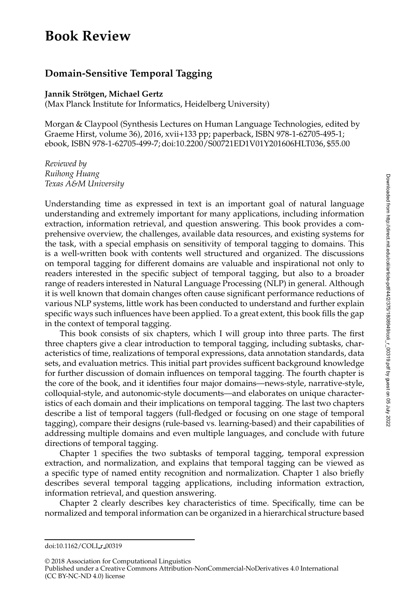## **Book Review**

## **Domain-Sensitive Temporal Tagging**

## Jannik Strötgen, Michael Gertz

(Max Planck Institute for Informatics, Heidelberg University)

Morgan & Claypool (Synthesis Lectures on Human Language Technologies, edited by Graeme Hirst, volume 36), 2016, xvii+133 pp; paperback, ISBN 978-1-62705-495-1; ebook, ISBN 978-1-62705-499-7; doi:10.2200/S00721ED1V01Y201606HLT036, \$55.00

*Reviewed by Ruihong Huang Texas A&M University*

Understanding time as expressed in text is an important goal of natural language understanding and extremely important for many applications, including information extraction, information retrieval, and question answering. This book provides a comprehensive overview, the challenges, available data resources, and existing systems for the task, with a special emphasis on sensitivity of temporal tagging to domains. This is a well-written book with contents well structured and organized. The discussions on temporal tagging for different domains are valuable and inspirational not only to readers interested in the specific subject of temporal tagging, but also to a broader range of readers interested in Natural Language Processing (NLP) in general. Although it is well known that domain changes often cause significant performance reductions of various NLP systems, little work has been conducted to understand and further explain specific ways such influences have been applied. To a great extent, this book fills the gap in the context of temporal tagging.

This book consists of six chapters, which I will group into three parts. The first three chapters give a clear introduction to temporal tagging, including subtasks, characteristics of time, realizations of temporal expressions, data annotation standards, data sets, and evaluation metrics. This initial part provides sufficent background knowledge for further discussion of domain influences on temporal tagging. The fourth chapter is the core of the book, and it identifies four major domains—news-style, narrative-style, colloquial-style, and autonomic-style documents—and elaborates on unique characteristics of each domain and their implications on temporal tagging. The last two chapters describe a list of temporal taggers (full-fledged or focusing on one stage of temporal tagging), compare their designs (rule-based vs. learning-based) and their capabilities of addressing multiple domains and even multiple languages, and conclude with future directions of temporal tagging.

Chapter 1 specifies the two subtasks of temporal tagging, temporal expression extraction, and normalization, and explains that temporal tagging can be viewed as a specific type of named entity recognition and normalization. Chapter 1 also briefly describes several temporal tagging applications, including information extraction, information retrieval, and question answering.

Chapter 2 clearly describes key characteristics of time. Specifically, time can be normalized and temporal information can be organized in a hierarchical structure based

doi:10.1162/COLI r 00319

<sup>© 2018</sup> Association for Computational Linguistics

Published under a Creative Commons Attribution-NonCommercial-NoDerivatives 4.0 International (CC BY-NC-ND 4.0) license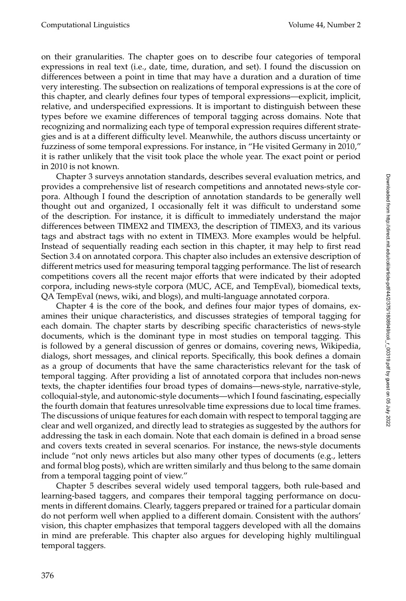on their granularities. The chapter goes on to describe four categories of temporal expressions in real text (i.e., date, time, duration, and set). I found the discussion on differences between a point in time that may have a duration and a duration of time very interesting. The subsection on realizations of temporal expressions is at the core of this chapter, and clearly defines four types of temporal expressions—explicit, implicit, relative, and underspecified expressions. It is important to distinguish between these types before we examine differences of temporal tagging across domains. Note that recognizing and normalizing each type of temporal expression requires different strategies and is at a different difficulty level. Meanwhile, the authors discuss uncertainty or fuzziness of some temporal expressions. For instance, in "He visited Germany in 2010," it is rather unlikely that the visit took place the whole year. The exact point or period in 2010 is not known.

Chapter 3 surveys annotation standards, describes several evaluation metrics, and provides a comprehensive list of research competitions and annotated news-style corpora. Although I found the description of annotation standards to be generally well thought out and organized, I occasionally felt it was difficult to understand some of the description. For instance, it is difficult to immediately understand the major differences between TIMEX2 and TIMEX3, the description of TIMEX3, and its various tags and abstract tags with no extent in TIMEX3. More examples would be helpful. Instead of sequentially reading each section in this chapter, it may help to first read Section 3.4 on annotated corpora. This chapter also includes an extensive description of different metrics used for measuring temporal tagging performance. The list of research competitions covers all the recent major efforts that were indicated by their adopted corpora, including news-style corpora (MUC, ACE, and TempEval), biomedical texts, QA TempEval (news, wiki, and blogs), and multi-language annotated corpora.

Chapter 4 is the core of the book, and defines four major types of domains, examines their unique characteristics, and discusses strategies of temporal tagging for each domain. The chapter starts by describing specific characteristics of news-style documents, which is the dominant type in most studies on temporal tagging. This is followed by a general discussion of genres or domains, covering news, Wikipedia, dialogs, short messages, and clinical reports. Specifically, this book defines a domain as a group of documents that have the same characteristics relevant for the task of temporal tagging. After providing a list of annotated corpora that includes non-news texts, the chapter identifies four broad types of domains—news-style, narrative-style, colloquial-style, and autonomic-style documents—which I found fascinating, especially the fourth domain that features unresolvable time expressions due to local time frames. The discussions of unique features for each domain with respect to temporal tagging are clear and well organized, and directly lead to strategies as suggested by the authors for addressing the task in each domain. Note that each domain is defined in a broad sense and covers texts created in several scenarios. For instance, the news-style documents include "not only news articles but also many other types of documents (e.g., letters and formal blog posts), which are written similarly and thus belong to the same domain from a temporal tagging point of view."

Chapter 5 describes several widely used temporal taggers, both rule-based and learning-based taggers, and compares their temporal tagging performance on documents in different domains. Clearly, taggers prepared or trained for a particular domain do not perform well when applied to a different domain. Consistent with the authors' vision, this chapter emphasizes that temporal taggers developed with all the domains in mind are preferable. This chapter also argues for developing highly multilingual temporal taggers.